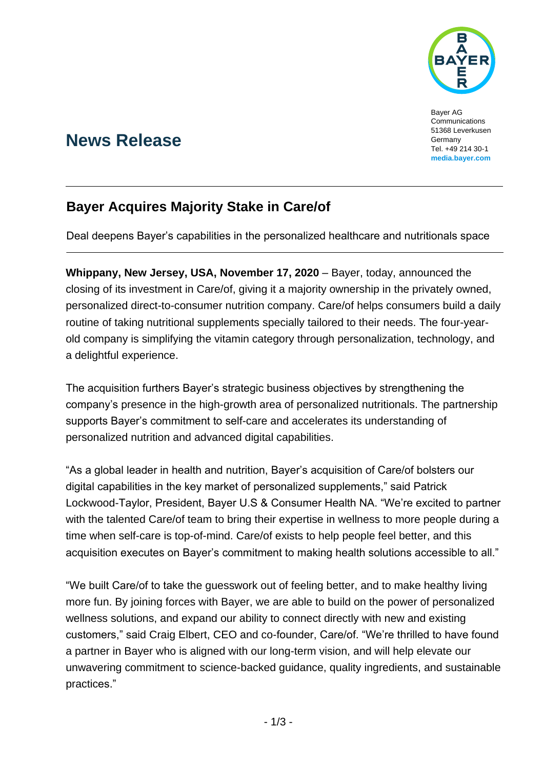

Bayer AG Communications 51368 Leverkusen Germany Tel. +49 214 30-1 **[media.bayer.com](http://media.bayer.de/)**

# **News Release**

## **Bayer Acquires Majority Stake in Care/of**

Deal deepens Bayer's capabilities in the personalized healthcare and nutritionals space

**Whippany, New Jersey, USA, November 17, 2020** – Bayer, today, announced the closing of its investment in Care/of, giving it a majority ownership in the privately owned, personalized direct-to-consumer nutrition company. Care/of helps consumers build a daily routine of taking nutritional supplements specially tailored to their needs. The four-yearold company is simplifying the vitamin category through personalization, technology, and a delightful experience.

The acquisition furthers Bayer's strategic business objectives by strengthening the company's presence in the high-growth area of personalized nutritionals. The partnership supports Bayer's commitment to self-care and accelerates its understanding of personalized nutrition and advanced digital capabilities.

"As a global leader in health and nutrition, Bayer's acquisition of Care/of bolsters our digital capabilities in the key market of personalized supplements," said Patrick Lockwood-Taylor, President, Bayer U.S & Consumer Health NA. "We're excited to partner with the talented Care/of team to bring their expertise in wellness to more people during a time when self-care is top-of-mind. Care/of exists to help people feel better, and this acquisition executes on Bayer's commitment to making health solutions accessible to all."

"We built Care/of to take the guesswork out of feeling better, and to make healthy living more fun. By joining forces with Bayer, we are able to build on the power of personalized wellness solutions, and expand our ability to connect directly with new and existing customers," said Craig Elbert, CEO and co-founder, Care/of. "We're thrilled to have found a partner in Bayer who is aligned with our long-term vision, and will help elevate our unwavering commitment to science-backed guidance, quality ingredients, and sustainable practices."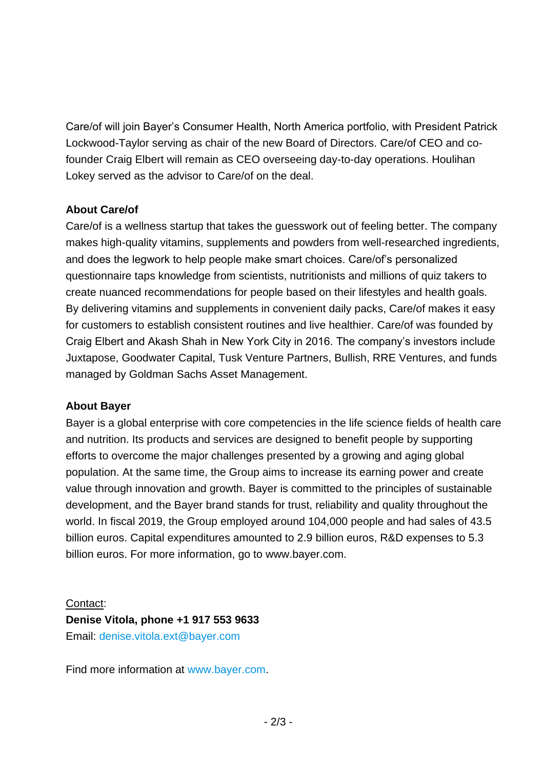Care/of will join Bayer's Consumer Health, North America portfolio, with President Patrick Lockwood-Taylor serving as chair of the new Board of Directors. Care/of CEO and cofounder Craig Elbert will remain as CEO overseeing day-to-day operations. Houlihan Lokey served as the advisor to Care/of on the deal.

#### **About Care/of**

Care/of is a wellness startup that takes the guesswork out of feeling better. The company makes high-quality vitamins, supplements and powders from well-researched ingredients, and does the legwork to help people make smart choices. Care/of's personalized questionnaire taps knowledge from scientists, nutritionists and millions of quiz takers to create nuanced recommendations for people based on their lifestyles and health goals. By delivering vitamins and supplements in convenient daily packs, Care/of makes it easy for customers to establish consistent routines and live healthier. Care/of was founded by Craig Elbert and Akash Shah in New York City in 2016. The company's investors include Juxtapose, Goodwater Capital, Tusk Venture Partners, Bullish, RRE Ventures, and funds managed by Goldman Sachs Asset Management.

#### **About Bayer**

Bayer is a global enterprise with core competencies in the life science fields of health care and nutrition. Its products and services are designed to benefit people by supporting efforts to overcome the major challenges presented by a growing and aging global population. At the same time, the Group aims to increase its earning power and create value through innovation and growth. Bayer is committed to the principles of sustainable development, and the Bayer brand stands for trust, reliability and quality throughout the world. In fiscal 2019, the Group employed around 104,000 people and had sales of 43.5 billion euros. Capital expenditures amounted to 2.9 billion euros, R&D expenses to 5.3 billion euros. For more information, go to [www.bayer.com.](http://www.bayer.com/)

### Contact: **Denise Vitola, phone +1 917 553 9633** Email: [denise.vitola.ext@bayer.com](mailto:denise.vitola.ext@bayer.com)

Find more information at [www.bayer.com.](http://www.bayer.com/)